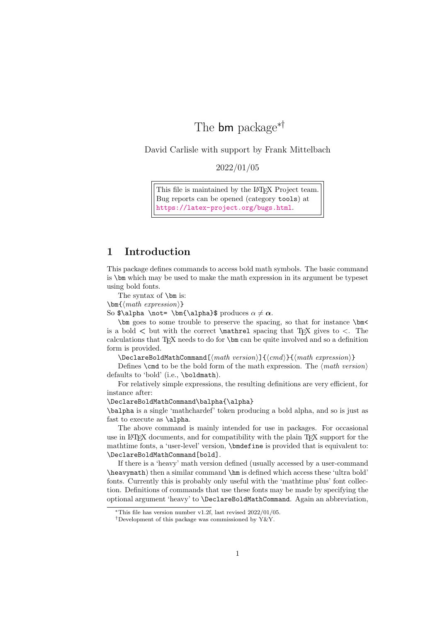# The **bm** package<sup>∗†</sup>

David Carlisle with support by Frank Mittelbach

2022/01/05

This file is maintained by the L<sup>AT</sup>F<sub>X</sub> Project team. Bug reports can be opened (category tools) at <https://latex-project.org/bugs.html>.

# 1 Introduction

This package defines commands to access bold math symbols. The basic command is \bm which may be used to make the math expression in its argument be typeset using bold fonts.

The syntax of **\bm** is:

\bm{⟨math expression⟩}

So \$\alpha \not= \bm{\alpha}\$ produces  $\alpha \neq \alpha$ .

\bm goes to some trouble to preserve the spacing, so that for instance \bm< is a bold  $\lt$  but with the correct **\mathrel** spacing that T<sub>E</sub>X gives to  $\lt$ . The calculations that  $T_{\rm F}X$  needs to do for  $\lambda$ m can be quite involved and so a definition form is provided.

\DeclareBoldMathCommand[⟨math version⟩]{⟨cmd⟩}{⟨math expression⟩}

Defines  $\Lambda$  to be the bold form of the math expression. The  $\langle \textit{math version} \rangle$ defaults to 'bold' (i.e., \boldmath).

For relatively simple expressions, the resulting definitions are very efficient, for instance after:

\DeclareBoldMathCommand\balpha{\alpha}

\balpha is a single 'mathchardef' token producing a bold alpha, and so is just as fast to execute as \alpha.

The above command is mainly intended for use in packages. For occasional use in LAT<sub>EX</sub> documents, and for compatibility with the plain T<sub>EX</sub> support for the mathtime fonts, a 'user-level' version, \bmdefine is provided that is equivalent to: \DeclareBoldMathCommand[bold].

If there is a 'heavy' math version defined (usually accessed by a user-command \heavymath) then a similar command \hm is defined which access these 'ultra bold' fonts. Currently this is probably only useful with the 'mathtime plus' font collection. Definitions of commands that use these fonts may be made by specifying the optional argument 'heavy' to \DeclareBoldMathCommand. Again an abbreviation,

<sup>∗</sup>This file has version number v1.2f, last revised 2022/01/05.

<sup>†</sup>Development of this package was commissioned by Y&Y.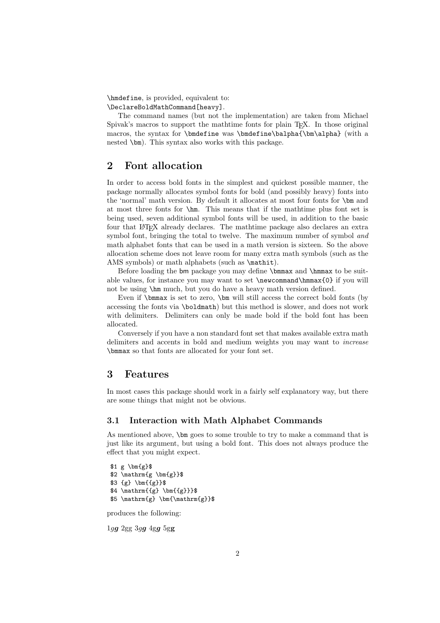\hmdefine, is provided, equivalent to: \DeclareBoldMathCommand[heavy].

The command names (but not the implementation) are taken from Michael Spivak's macros to support the mathtime fonts for plain T<sub>E</sub>X. In those original macros, the syntax for \bmdefine was \bmdefine\balpha{\bm\alpha} (with a nested \bm). This syntax also works with this package.

# 2 Font allocation

In order to access bold fonts in the simplest and quickest possible manner, the package normally allocates symbol fonts for bold (and possibly heavy) fonts into the 'normal' math version. By default it allocates at most four fonts for \bm and at most three fonts for \hm. This means that if the mathtime plus font set is being used, seven additional symbol fonts will be used, in addition to the basic four that LATEX already declares. The mathtime package also declares an extra symbol font, bringing the total to twelve. The maximum number of symbol and math alphabet fonts that can be used in a math version is sixteen. So the above allocation scheme does not leave room for many extra math symbols (such as the AMS symbols) or math alphabets (such as  $\mathcal{L}$ ).

Before loading the bm package you may define \bmmax and \hmmax to be suitable values, for instance you may want to set \newcommand\hmmax{0} if you will not be using \hm much, but you do have a heavy math version defined.

Even if \bmmax is set to zero, \bm will still access the correct bold fonts (by accessing the fonts via \boldmath) but this method is slower, and does not work with delimiters. Delimiters can only be made bold if the bold font has been allocated.

Conversely if you have a non standard font set that makes available extra math delimiters and accents in bold and medium weights you may want to increase \bmmax so that fonts are allocated for your font set.

### 3 Features

In most cases this package should work in a fairly self explanatory way, but there are some things that might not be obvious.

### 3.1 Interaction with Math Alphabet Commands

As mentioned above, \bm goes to some trouble to try to make a command that is just like its argument, but using a bold font. This does not always produce the effect that you might expect.

```
$1 g \bm{g}$
$2 \mathrm{km{g \bm{g}}}\$3 {g} \bm{{g}}$
$4 \mathrm{{g} \bm{{g}}}$
$5 \mathrm{g} \bm{\mathrm{g}}$
```
produces the following:

 $1gg$  2gg  $3gg$   $4gg$   $5gg$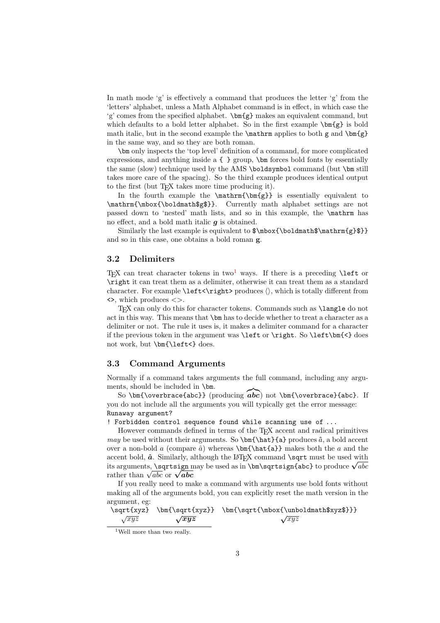In math mode 'g' is effectively a command that produces the letter 'g' from the 'letters' alphabet, unless a Math Alphabet command is in effect, in which case the 'g' comes from the specified alphabet.  $\bm{g}$  makes an equivalent command, but which defaults to a bold letter alphabet. So in the first example  $\bm{\delta}$  is bold math italic, but in the second example the  $\mathrm{anthrm}$  applies to both g and  $\mathrm{cmfg}$ in the same way, and so they are both roman.

\bm only inspects the 'top level' definition of a command, for more complicated expressions, and anything inside a { } group, \bm forces bold fonts by essentially the same (slow) technique used by the AMS \boldsymbol command (but \bm still takes more care of the spacing). So the third example produces identical output to the first (but T<sub>EX</sub> takes more time producing it).

In the fourth example the  $\mathrm{\bm{g}}$  is essentially equivalent to \mathrm{\mbox{\boldmath\$g\$}}. Currently math alphabet settings are not passed down to 'nested' math lists, and so in this example, the \mathrm has no effect, and a bold math italic  $q$  is obtained.

Similarly the last example is equivalent to  $\backslash \boldsymbol{\times} \mathcal{g}$ } and so in this case, one obtains a bold roman g.

#### 3.2 Delimiters

TEX can treat character tokens in two<sup>[1](#page-2-0)</sup> ways. If there is a preceding **\left** or \right it can treat them as a delimiter, otherwise it can treat them as a standard character. For example  $\left\{\right\}$  produces  $\langle \rangle$ , which is totally different from  $\leftrightarrow$ , which produces  $\lt$ .

TEX can only do this for character tokens. Commands such as \langle do not act in this way. This means that \bm has to decide whether to treat a character as a delimiter or not. The rule it uses is, it makes a delimiter command for a character if the previous token in the argument was \left or \right. So \left\bm{<} does not work, but \bm{\left<} does.

#### 3.3 Command Arguments

Normally if a command takes arguments the full command, including any arguments, should be included in \bm.

So \bm{\overbrace{abc}} (producing  $\widehat{abc}$ ) not \bm{\overbrace}{abc}. If you do not include all the arguments you will typically get the error message: Runaway argument?

! Forbidden control sequence found while scanning use of ...

However commands defined in terms of the TEX accent and radical primitives may be used without their arguments. So  $\bm{\hat{a}}$  produces  $\hat{a}$ , a bold accent over a non-bold a (compare  $\hat{a}$ ) whereas  $\bm{\hat{a}}$  makes both the a and the accent bold,  $\hat{a}$ . Similarly, although the LAT<sub>EX</sub> command \sqrt must be used with accent bold,  $a$ . Similarly, although the E+IEA command \sqrt must be used with its arguments, **\sqrtsign** may be used as in **\bm\sqrtsign{abc}** to produce  $\sqrt{abc}$ its arguments, **\sqrtsign** if<br>rather than  $\sqrt{abc}$  or  $\sqrt{abc}$ 

If you really need to make a command with arguments use bold fonts without making all of the arguments bold, you can explicitly reset the math version in the argument, eg:

$$
\sqrt{\sqrt{\sqrt{\sqrt{xyz}} \bm{\sqrt{xyz}} \bm{\sqrt{xyz}} \sqrt{xyz}} \sqrt{\sqrt{xyz}} \sqrt{\sqrt{xyz}}
$$

<span id="page-2-0"></span><sup>&</sup>lt;sup>1</sup>Well more than two really.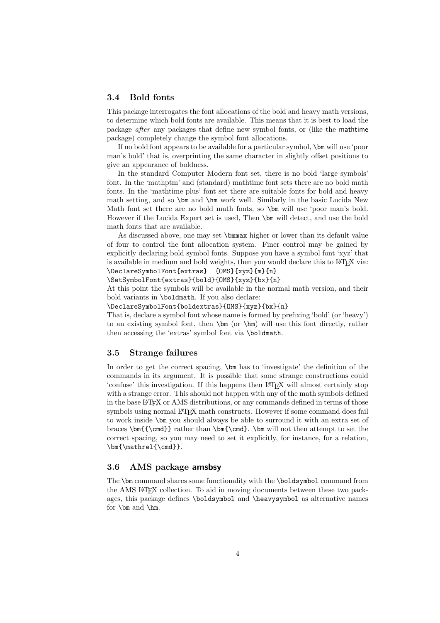#### 3.4 Bold fonts

This package interrogates the font allocations of the bold and heavy math versions, to determine which bold fonts are available. This means that it is best to load the package after any packages that define new symbol fonts, or (like the mathtime package) completely change the symbol font allocations.

If no bold font appears to be available for a particular symbol, \bm will use 'poor man's bold' that is, overprinting the same character in slightly offset positions to give an appearance of boldness.

In the standard Computer Modern font set, there is no bold 'large symbols' font. In the 'mathptm' and (standard) mathtime font sets there are no bold math fonts. In the 'mathtime plus' font set there are suitable fonts for bold and heavy math setting, and so \bm and \hm work well. Similarly in the basic Lucida New Math font set there are no bold math fonts, so \bm will use 'poor man's bold. However if the Lucida Expert set is used, Then \bm will detect, and use the bold math fonts that are available.

As discussed above, one may set \bmmax higher or lower than its default value of four to control the font allocation system. Finer control may be gained by explicitly declaring bold symbol fonts. Suppose you have a symbol font 'xyz' that is available in medium and bold weights, then you would declare this to LAT<sub>EX</sub> via: \DeclareSymbolFont{extras} {OMS}{xyz}{m}{n}

\SetSymbolFont{extras}{bold}{OMS}{xyz}{bx}{n}

At this point the symbols will be available in the normal math version, and their bold variants in \boldmath. If you also declare:

\DeclareSymbolFont{boldextras}{OMS}{xyz}{bx}{n}

That is, declare a symbol font whose name is formed by prefixing 'bold' (or 'heavy') to an existing symbol font, then  $\bm{\lambda}$  (or  $\lambda$ hm) will use this font directly, rather then accessing the 'extras' symbol font via \boldmath.

#### 3.5 Strange failures

In order to get the correct spacing, \bm has to 'investigate' the definition of the commands in its argument. It is possible that some strange constructions could 'confuse' this investigation. If this happens then LATEX will almost certainly stop with a strange error. This should not happen with any of the math symbols defined in the base LATEX or AMS distributions, or any commands defined in terms of those symbols using normal LATEX math constructs. However if some command does fail to work inside \bm you should always be able to surround it with an extra set of braces \bm{{\cmd}} rather than \bm{\cmd}. \bm will not then attempt to set the correct spacing, so you may need to set it explicitly, for instance, for a relation, \bm{\mathrel{\cmd}}.

### 3.6 AMS package amsbsy

The \bm command shares some functionality with the \boldsymbol command from the AMS LATEX collection. To aid in moving documents between these two packages, this package defines \boldsymbol and \heavysymbol as alternative names for \bm and \hm.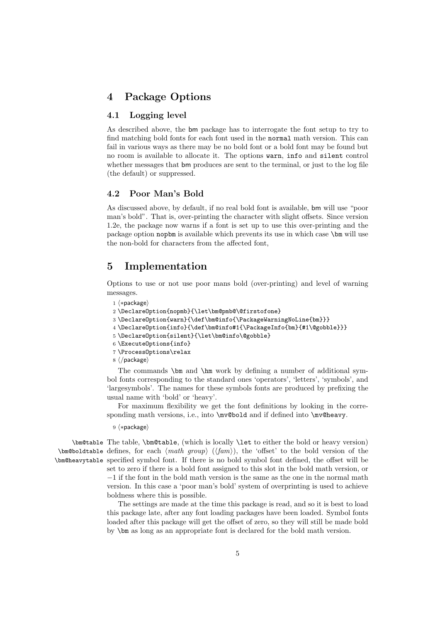## 4 Package Options

### 4.1 Logging level

As described above, the bm package has to interrogate the font setup to try to find matching bold fonts for each font used in the normal math version. This can fail in various ways as there may be no bold font or a bold font may be found but no room is available to allocate it. The options warn, info and silent control whether messages that bm produces are sent to the terminal, or just to the log file (the default) or suppressed.

### 4.2 Poor Man's Bold

As discussed above, by default, if no real bold font is available, bm will use "poor man's bold". That is, over-printing the character with slight offsets. Since version 1.2e, the package now warns if a font is set up to use this over-printing and the package option nopbm is available which prevents its use in which case \bm will use the non-bold for characters from the affected font,

### 5 Implementation

Options to use or not use poor mans bold (over-printing) and level of warning messages.

```
1 ⟨∗package⟩
```

```
2 \DeclareOption{nopmb}{\let\bm@pmb@\@firstofone}
```
- 3 \DeclareOption{warn}{\def\bm@info{\PackageWarningNoLine{bm}}}
- 4 \DeclareOption{info}{\def\bm@info#1{\PackageInfo{bm}{#1\@gobble}}}
- 5 \DeclareOption{silent}{\let\bm@info\@gobble}
- 6 \ExecuteOptions{info}
- 7 \ProcessOptions\relax
- 8 ⟨/package⟩

The commands \bm and \hm work by defining a number of additional symbol fonts corresponding to the standard ones 'operators', 'letters', 'symbols', and 'largesymbols'. The names for these symbols fonts are produced by prefixing the usual name with 'bold' or 'heavy'.

For maximum flexibility we get the font definitions by looking in the corresponding math versions, i.e., into \mv@bold and if defined into \mv@heavy.

9 ⟨∗package⟩

\bm@table The table, \bm@table, (which is locally \let to either the bold or heavy version)  $\lambda$ bm@boldtable defines, for each  $\langle \mathit{math} \ \mathit{group} \ \langle \mathit{fam} \rangle$ , the 'offset' to the bold version of the \bm@heavytable specified symbol font. If there is no bold symbol font defined, the offset will be

set to zero if there is a bold font assigned to this slot in the bold math version, or −1 if the font in the bold math version is the same as the one in the normal math version. In this case a 'poor man's bold' system of overprinting is used to achieve boldness where this is possible.

The settings are made at the time this package is read, and so it is best to load this package late, after any font loading packages have been loaded. Symbol fonts loaded after this package will get the offset of zero, so they will still be made bold by \bm as long as an appropriate font is declared for the bold math version.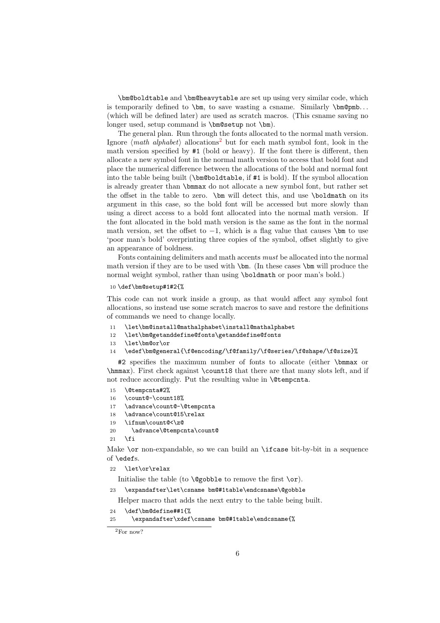\bm@boldtable and \bm@heavytable are set up using very similar code, which is temporarily defined to  $\bm{\infty}$ , to save wasting a csname. Similarly  $\bm{\infty}$ ... (which will be defined later) are used as scratch macros. (This csname saving no longer used, setup command is \bm@setup not \bm).

The general plan. Run through the fonts allocated to the normal math version. Ignore  $\langle \text{math alphabet} \rangle$  allocations<sup>[2](#page-5-0)</sup> but for each math symbol font, look in the math version specified by #1 (bold or heavy). If the font there is different, then allocate a new symbol font in the normal math version to access that bold font and place the numerical difference between the allocations of the bold and normal font into the table being built (\bm@boldtable, if #1 is bold). If the symbol allocation is already greater than \bmmax do not allocate a new symbol font, but rather set the offset in the table to zero. \bm will detect this, and use \boldmath on its argument in this case, so the bold font will be accessed but more slowly than using a direct access to a bold font allocated into the normal math version. If the font allocated in the bold math version is the same as the font in the normal math version, set the offset to  $-1$ , which is a flag value that causes  $\mathbb{R}$  to use 'poor man's bold' overprinting three copies of the symbol, offset slightly to give an appearance of boldness.

Fonts containing delimiters and math accents must be allocated into the normal math version if they are to be used with  $\bm{\lambda}$ . (In these cases  $\bm{\lambda}$  will produce the normal weight symbol, rather than using \boldmath or poor man's bold.)

#### 10 \def\bm@setup#1#2{%

This code can not work inside a group, as that would affect any symbol font allocations, so instead use some scratch macros to save and restore the definitions of commands we need to change locally.

- 11 \let\bm@install@mathalphabet\install@mathalphabet
- 12 \let\bm@getanddefine@fonts\getanddefine@fonts
- 13 \let\bm@or\or
- 14 \edef\bm@general{\f@encoding/\f@family/\f@series/\f@shape/\f@size}%

#2 specifies the maximum number of fonts to allocate (either \bmmax or \hmmax). First check against \count18 that there are that many slots left, and if not reduce accordingly. Put the resulting value in **\@tempcnta.** 

- 15 \@tempcnta#2%
- 16 \count@-\count18%
- 17 \advance\count@-\@tempcnta
- 18 \advance\count@15\relax
- 19 \ifnum\count@<\z@
- 20 \advance\@tempcnta\count@

 $21$  \fi

Make \or non-expandable, so we can build an \ifcase bit-by-bit in a sequence of \edefs.

22 \let\or\relax

Initialise the table (to  $\qquade$   $\qquad$   $\qquad$   $\qquad$   $\qquad$   $\qquad$   $\qquad$   $\qquad$   $\qquad$   $\qquad$   $\qquad$   $\qquad$   $\qquad$   $\qquad$   $\qquad$   $\qquad$   $\qquad$   $\qquad$   $\qquad$   $\qquad$   $\qquad$   $\qquad$   $\qquad$   $\qquad$   $\qquad$   $\qquad$   $\qquad$   $\qquad$   $\qquad$   $\qquad$   $\qquad$   $\qquad$   $\q$ 

23 \expandafter\let\csname bm@#1table\endcsname\@gobble

Helper macro that adds the next entry to the table being built.

```
24 \def\bm@define##1{%
```
25 \expandafter\xdef\csname bm@#1table\endcsname{%

<span id="page-5-0"></span><sup>2</sup>For now?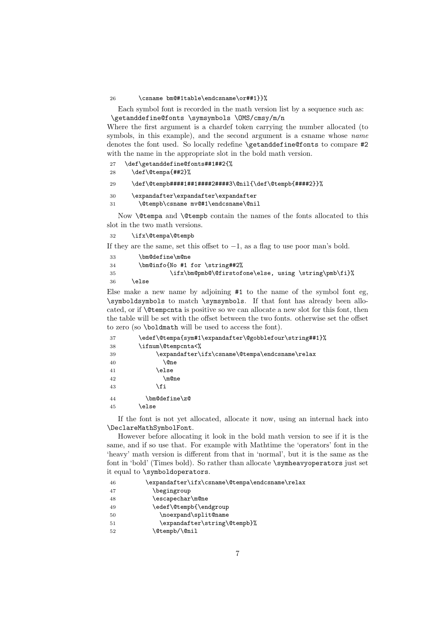#### 26 \csname bm@#1table\endcsname\or##1}}%

Each symbol font is recorded in the math version list by a sequence such as: \getanddefine@fonts \symsymbols \OMS/cmsy/m/n

Where the first argument is a chardef token carrying the number allocated (to symbols, in this example), and the second argument is a csname whose *name* denotes the font used. So locally redefine \getanddefine@fonts to compare #2 with the name in the appropriate slot in the bold math version.

| 27 | \def\getanddefine@fonts##1##2{%                         |
|----|---------------------------------------------------------|
| 28 | \def\@tempa{##2}%                                       |
| 29 | \def\@tempb####1##1####2####3\@nil{\def\@tempb{####2}}% |
| 30 | \expandafter\expandafter\expandafter                    |
| 31 | \@tempb\csname mv@#1\endcsname\@nil                     |

Now \@tempa and \@tempb contain the names of the fonts allocated to this slot in the two math versions.

32 \ifx\@tempa\@tempb

If they are the same, set this offset to  $-1$ , as a flag to use poor man's bold.

| 33 | \bm@define\m@ne                                       |
|----|-------------------------------------------------------|
| 34 | \bm@info{No #1 for \string##2%                        |
| 35 | \ifx\bm@pmb@\@firstofone\else, using \string\pmb\fi}% |
| 36 | else)                                                 |

Else make a new name by adjoining #1 to the name of the symbol font eg, \symboldsymbols to match \symsymbols. If that font has already been allocated, or if \@tempcnta is positive so we can allocate a new slot for this font, then the table will be set with the offset between the two fonts. otherwise set the offset to zero (so \boldmath will be used to access the font).

| 37 | \edef\@tempa{sym#1\expandafter\@gobblefour\string##1}% |
|----|--------------------------------------------------------|
| 38 | \ifnum\@tempcnta<%                                     |
| 39 | \expandafter\ifx\csname\@tempa\endcsname\relax         |
| 40 | \@ne                                                   |
| 41 | \else                                                  |
| 42 | \m@ne                                                  |
| 43 | \fi                                                    |
| 44 | \bm@define\z@                                          |
| 45 | else\                                                  |
|    |                                                        |

If the font is not yet allocated, allocate it now, using an internal hack into \DeclareMathSymbolFont.

However before allocating it look in the bold math version to see if it is the same, and if so use that. For example with Mathtime the 'operators' font in the 'heavy' math version is different from that in 'normal', but it is the same as the font in 'bold' (Times bold). So rather than allocate \symheavyoperators just set it equal to \symboldoperators.

| 46 | \expandafter\ifx\csname\@tempa\endcsname\relax |
|----|------------------------------------------------|
| 47 | \begingroup                                    |
| 48 | \escapechar\m@ne                               |
| 49 | \edef\@tempb{\endgroup                         |
| 50 | \noexpand\split@name                           |
| 51 | \expandafter\string\@tempb}%                   |
| 52 | \@tempb/\@nil                                  |
|    |                                                |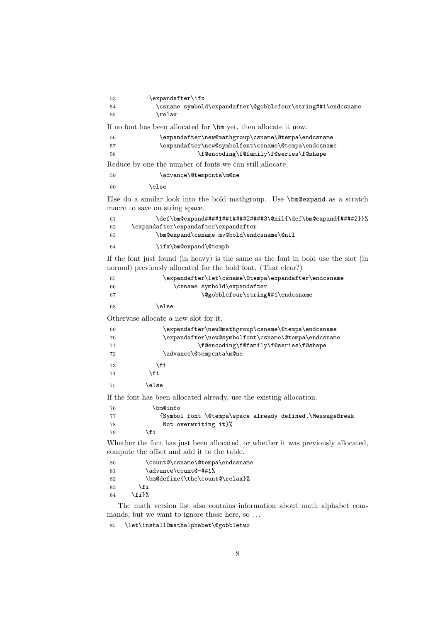| 53   | \expandafter\ifx                                            |  |
|------|-------------------------------------------------------------|--|
| - 54 | \csname symbold\expandafter\@gobblefour\string##1\endcsname |  |
| - 55 | \relax                                                      |  |

If no font has been allocated for \bm yet, then allocate it now.

| 56   | \expandafter\new@mathgroup\csname\@tempa\endcsname  |
|------|-----------------------------------------------------|
| - 57 | \expandafter\new@symbolfont\csname\@tempa\endcsname |
| -58  | \f@encoding\f@family\f@series\f@shape               |

Reduce by one the number of fonts we can still allocate.

59 \advance\@tempcnta\m@ne

\else

Else do a similar look into the bold mathgroup. Use \bm@expand as a scratch macro to save on string space.

| -61 | \def\bm@expand####1##1#####2####3\@nil{\def\bm@expand{####2}}% |
|-----|----------------------------------------------------------------|
| 62  | \expandafter\expandafter\expandafter                           |
| 63  | \bm@expand\csname mv@bold\endcsname\@nil                       |
| 64  | \ifx\bm@expand\@tempb                                          |

If the font just found (in heavy) is the same as the font in bold use the slot (in normal) previously allocated for the bold font. (That clear?)

| -65 | \expandafter\let\csname\@tempa\expandafter\endcsname |
|-----|------------------------------------------------------|
| -66 | \csname symbold\expandafter                          |
| -67 | \@gobblefour\string##1\endcsname                     |
| -68 | \else                                                |

Otherwise allocate a new slot for it.

| 69 |       | \expandafter\new@mathgroup\csname\@tempa\endcsname  |
|----|-------|-----------------------------------------------------|
| 70 |       | \expandafter\new@symbolfont\csname\@tempa\endcsname |
| 71 |       | \f@encoding\f@family\f@series\f@shape               |
| 72 |       | \advance\@tempcnta\m@ne                             |
| 73 | \fi   |                                                     |
| 74 | \fi   |                                                     |
| 75 | \else |                                                     |
|    | .     |                                                     |

If the font has been allocated already, use the existing allocation.

| -76 | \bm@info                                                 |
|-----|----------------------------------------------------------|
| -77 | {Symbol font \@tempa\space already defined.\MessageBreak |
| -78 | Not overwriting it}%                                     |
| -79 | fi                                                       |

Whether the font has just been allocated, or whether it was previously allocated, compute the offset and add it to the table.

| 80 | \count@\csname\@tempa\endcsname |
|----|---------------------------------|
| 81 | \advance\count@-##1%            |
| 82 | \bm@define{\the\count@\relax}%  |
| 83 | \fi                             |
| 84 | $\{f_i\}$ %                     |

The math version list also contains information about math alphabet commands, but we want to ignore those here, so ...

\let\install@mathalphabet\@gobbletwo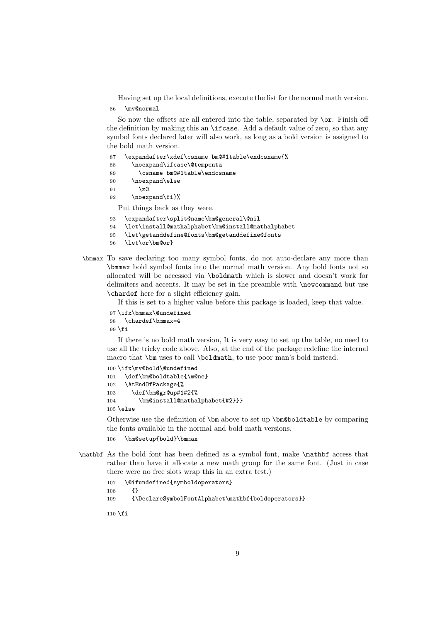Having set up the local definitions, execute the list for the normal math version.

86 \mv@normal

So now the offsets are all entered into the table, separated by **\or.** Finish off the definition by making this an \ifcase. Add a default value of zero, so that any symbol fonts declared later will also work, as long as a bold version is assigned to the bold math version.

| 87 | \expandafter\xdef\csname bm@#1table\endcsname{% |
|----|-------------------------------------------------|
| 88 | \noexpand\ifcase\@tempcnta                      |
| 89 | \csname bm@#1table\endcsname                    |
| 90 | \noexpand\else                                  |
| 91 | \z@                                             |
| 92 | \noexpand\fi}%                                  |
|    | Put things back as they were.                   |
| 93 | \expandafter\split@name\bm@general\@nil         |

94 \let\install@mathalphabet\bm@install@mathalphabet

- 95 \let\getanddefine@fonts\bm@getanddefine@fonts
- 96 \let\or\bm@or}
- \bmmax To save declaring too many symbol fonts, do not auto-declare any more than \bmmax bold symbol fonts into the normal math version. Any bold fonts not so allocated will be accessed via \boldmath which is slower and doesn't work for delimiters and accents. It may be set in the preamble with \newcommand but use \chardef here for a slight efficiency gain.

If this is set to a higher value before this package is loaded, keep that value.

```
97 \ifx\bmmax\@undefined
98 \chardef\bmmax=4
99\chii
```
If there is no bold math version, It is very easy to set up the table, no need to use all the tricky code above. Also, at the end of the package redefine the internal macro that \bm uses to call \boldmath, to use poor man's bold instead.

```
100 \ifx\mv@bold\@undefined
101 \def\bm@boldtable{\m@ne}
102 \AtEndOfPackage{%
103 \def\bm@gr@up#1#2{%
104 \bm@install@mathalphabet{#2}}}
105 \else
```
Otherwise use the definition of \bm above to set up \bm@boldtable by comparing the fonts available in the normal and bold math versions.

- 106 \bm@setup{bold}\bmmax
- \mathbf As the bold font has been defined as a symbol font, make \mathbf access that rather than have it allocate a new math group for the same font. (Just in case there were no free slots wrap this in an extra test.)
	- 107 \@ifundefined{symboldoperators}
	- 108 {}
	- 109 {\DeclareSymbolFontAlphabet\mathbf{boldoperators}}

 $110 \setminus fi$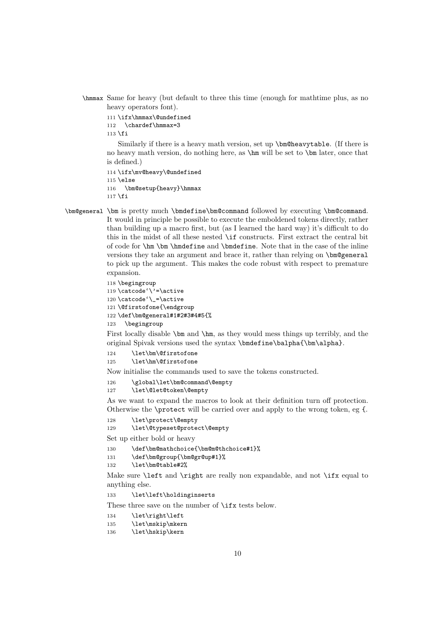\hmmax Same for heavy (but default to three this time (enough for mathtime plus, as no heavy operators font).

```
111 \ifx\hmmax\@undefined
112 \chardef\hmmax=3
```
 $113$  \fi

Similarly if there is a heavy math version, set up \bm@heavytable. (If there is no heavy math version, do nothing here, as \hm will be set to \bm later, once that is defined.)

```
114 \ifx\mv@heavy\@undefined
115 \else
116 \bm@setup{heavy}\hmmax
117 \fi
```
\bm@general \bm is pretty much \bmdefine\bm@command followed by executing \bm@command. It would in principle be possible to execute the emboldened tokens directly, rather than building up a macro first, but (as I learned the hard way) it's difficult to do this in the midst of all these nested \if constructs. First extract the central bit of code for \hm \bm \hmdefine and \bmdefine. Note that in the case of the inline versions they take an argument and brace it, rather than relying on \bm@general to pick up the argument. This makes the code robust with respect to premature expansion.

```
118 \begingroup
119 \catcode'\'=\active
120 \catcode'\_=\active
121 \@firstofone{\endgroup
122 \def\bm@general#1#2#3#4#5{%
123 \begingroup
```
First locally disable \bm and \hm, as they would mess things up terribly, and the original Spivak versions used the syntax \bmdefine\balpha{\bm\alpha}.

```
124 \let\bm\@firstofone
125 \let\hm\@firstofone
```
Now initialise the commands used to save the tokens constructed.

126 \global\let\bm@command\@empty 127 \let\@let@token\@empty

As we want to expand the macros to look at their definition turn off protection. Otherwise the \protect will be carried over and apply to the wrong token, eg {.

128 \let\protect\@empty

```
129 \let\@typeset@protect\@empty
```
Set up either bold or heavy

```
130 \def\bm@mathchoice{\bm@m@thchoice#1}%
131 \def\bm@group{\bm@gr@up#1}%
```

```
132 \let\bm@table#2%
```
Make sure \left and \right are really non expandable, and not \ifx equal to anything else.

133 \let\left\holdinginserts

These three save on the number of \ifx tests below.

```
134 \let\right\left
```

```
135 \let\mskip\mkern
```

```
136 \let\hskip\kern
```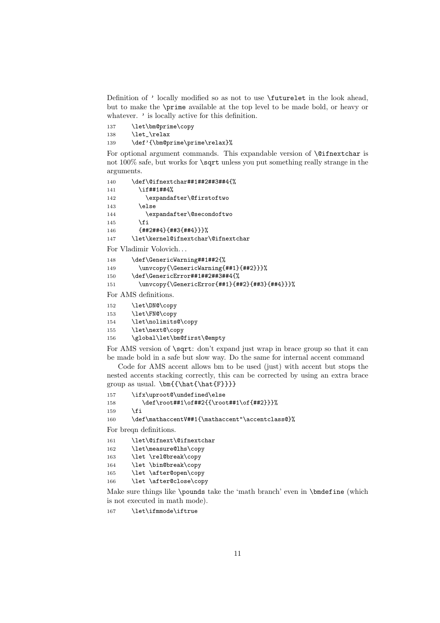Definition of ' locally modified so as not to use \futurelet in the look ahead, but to make the \prime available at the top level to be made bold, or heavy or whatever.  $\prime$  is locally active for this definition.

137 \let\bm@prime\copy

138 \let\_\relax

139 \def'{\bm@prime\prime\relax}%

For optional argument commands. This expandable version of  $\Diamond$  ifnextchar is not 100% safe, but works for **\sqrt** unless you put something really strange in the arguments.

```
140 \def\@ifnextchar##1##2##3##4{%
141 \if##1##4%
142 \expandafter\@firstoftwo
143 \else
144 \expandafter\@secondoftwo
145 \fi
146 {##2##4}{##3{##4}}}%
147 \let\kernel@ifnextchar\@ifnextchar
```
For Vladimir Volovich. . .

```
148 \def\GenericWarning##1##2{%
149 \unvcopy{\GenericWarning{##1}{##2}}}%
150 \def\GenericError##1##2##3##4{%
```

```
151 \unvcopy{\GenericError{##1}{##2}{##3}{##4}}}%
```
For AMS definitions.

```
152 \let\DN@\copy
153 \let\FN@\copy
154 \let\nolimits@\copy
155 \let\next@\copy
```
156 \global\let\bm@first\@empty

For AMS version of  $\sqrt{\sqrt{t}}$  con't expand just wrap in brace group so that it can be made bold in a safe but slow way. Do the same for internal accent command

Code for AMS accent allows bm to be used (just) with accent but stops the nested accents stacking correctly, this can be corrected by using an extra brace group as usual. \bm{{\hat{\hat{F}}}}

```
157 \ifx\uproot@\undefined\else
158 \def\root##1\of##2{{\root##1\of{##2}}}%
159 \fi
```

```
160 \def\mathaccentV##1{\mathaccent"\accentclass@}%
```
For breqn definitions.

```
161 \let\@ifnext\@ifnextchar
```

```
162 \let\measure@lhs\copy
```

```
163 \let \rel@break\copy
```

```
164 \let \bin@break\copy
```

```
165 \let \after@open\copy
```
166 \let \after@close\copy

Make sure things like \pounds take the 'math branch' even in \bmdefine (which is not executed in math mode).

167 \let\ifmmode\iftrue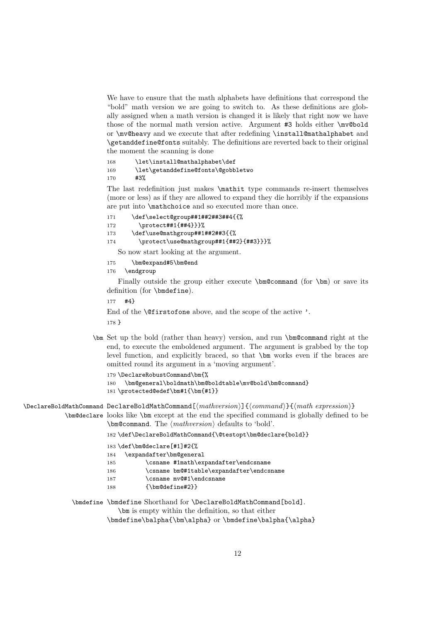We have to ensure that the math alphabets have definitions that correspond the "bold" math version we are going to switch to. As these definitions are globally assigned when a math version is changed it is likely that right now we have those of the normal math version active. Argument #3 holds either \mv@bold or \mv@heavy and we execute that after redefining \install@mathalphabet and \getanddefine@fonts suitably. The definitions are reverted back to their original the moment the scanning is done

168 \let\install@mathalphabet\def 169 \let\getanddefine@fonts\@gobbletwo 170 #3%

The last redefinition just makes \mathit type commands re-insert themselves (more or less) as if they are allowed to expand they die horribly if the expansions are put into \mathchoice and so executed more than once.

```
171 \def\select@group##1##2##3##4{{%
172 \protect##1{##4}}}%
173 \def\use@mathgroup##1##2##3{{%
174 \protect\use@mathgroup##1{##2}{##3}}}%
```
So now start looking at the argument.

```
175 \bm@expand#5\bm@end
```

```
176 \endgroup
```
Finally outside the group either execute \bm@command (for \bm) or save its definition (for \bmdefine).

```
177 #4}
```
End of the \@firstofone above, and the scope of the active '.

178 }

\bm Set up the bold (rather than heavy) version, and run \bm@command right at the end, to execute the emboldened argument. The argument is grabbed by the top level function, and explicitly braced, so that \bm works even if the braces are omitted round its argument in a 'moving argument'.

```
179 \DeclareRobustCommand\bm{%
```

```
180 \bm@general\boldmath\bm@boldtable\mv@bold\bm@command}
181 \protected@edef\bm#1{\bm{#1}}
```
\DeclareBoldMathCommand DeclareBoldMathCommand[⟨mathversion⟩]{⟨command⟩}{⟨math expression⟩} \bm@declare looks like \bm except at the end the specified command is globally defined to be \bm@command. The ⟨mathversion⟩ defaults to 'bold'.

182 \def\DeclareBoldMathCommand{\@testopt\bm@declare{bold}}

```
183 \def\bm@declare[#1]#2{%
```

```
184 \expandafter\bm@general
```

```
185 \csname #1math\expandafter\endcsname
```
- 186 \csname bm@#1table\expandafter\endcsname
- 187 \csname mv@#1\endcsname
- 188 {\bm@define#2}}

```
\bmdefine \bmdefine Shorthand for \DeclareBoldMathCommand[bold].
```
\bm is empty within the definition, so that either \bmdefine\balpha{\bm\alpha} or \bmdefine\balpha{\alpha}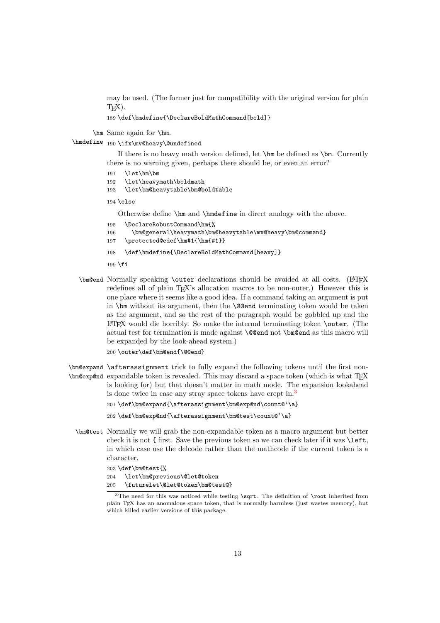may be used. (The former just for compatibility with the original version for plain  $T_{F}X$ ).

189 \def\bmdefine{\DeclareBoldMathCommand[bold]}

\hm Same again for \hm.

\hmdefine 190 \ifx\mv@heavy\@undefined

If there is no heavy math version defined, let \hm be defined as \bm. Currently there is no warning given, perhaps there should be, or even an error?

- 191 \let\hm\bm
- 192 \let\heavymath\boldmath
- 193 \let\bm@heavytable\bm@boldtable

 $194$   $\lambda$ else

Otherwise define \hm and \hmdefine in direct analogy with the above.

- 195 \DeclareRobustCommand\hm{%
- 196 \bm@general\heavymath\bm@heavytable\mv@heavy\bm@command}
- 197 \protected@edef\hm#1{\hm{#1}}
- 198 \def\hmdefine{\DeclareBoldMathCommand[heavy]}

199  $\fi$ 

- \bm@end Normally speaking \outer declarations should be avoided at all costs. (LATFX redefines all of plain T<sub>EX</sub>'s allocation macros to be non-outer.) However this is one place where it seems like a good idea. If a command taking an argument is put in \bm without its argument, then the \@@end terminating token would be taken as the argument, and so the rest of the paragraph would be gobbled up and the  $\Delta E$ T<sub>EX</sub> would die horribly. So make the internal terminating token **\outer**. (The actual test for termination is made against **\@@end** not **\bm@end** as this macro will be expanded by the look-ahead system.)
	- 200 \outer\def\bm@end{\@@end}
- \bm@expand \afterassignment trick to fully expand the following tokens until the first non-\bm@exp@nd expandable token is revealed. This may discard a space token (which is what TEX is looking for) but that doesn't matter in math mode. The expansion lookahead is done twice in case any stray space tokens have crept in.[3](#page-12-0)

```
201 \def\bm@expand{\afterassignment\bm@exp@nd\count@'\a}
```

```
202 \def\bm@exp@nd{\afterassignment\bm@test\count@'\a}
```
\bm@test Normally we will grab the non-expandable token as a macro argument but better check it is not { first. Save the previous token so we can check later if it was \left, in which case use the delcode rather than the mathcode if the current token is a character.

```
203 \def\bm@test{%
```
204 \let\bm@previous\@let@token 205 \futurelet\@let@token\bm@test@}

<span id="page-12-0"></span><sup>&</sup>lt;sup>3</sup>The need for this was noticed while testing  $\sqrt{\sqrt{c}}$ . The definition of  $\root$  inherited from plain TEX has an anomalous space token, that is normally harmless (just wastes memory), but which killed earlier versions of this package.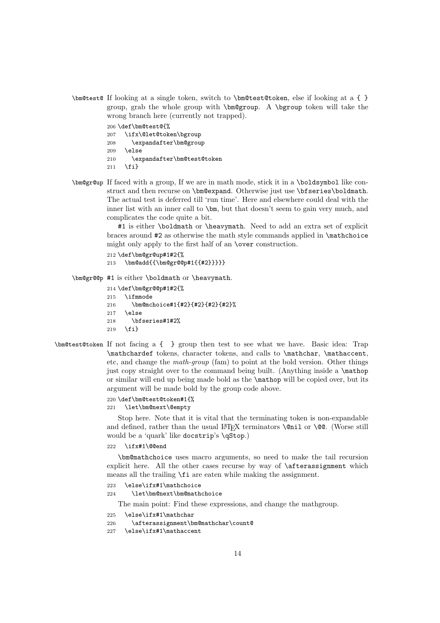\bm@test@ If looking at a single token, switch to \bm@test@token, else if looking at a { } group, grab the whole group with \bm@group. A \bgroup token will take the wrong branch here (currently not trapped).

```
206 \def\bm@test@{%
207 \ifx\@let@token\bgroup
208 \expandafter\bm@group
209 \else
210 \expandafter\bm@test@token
211 \{f_i\}
```
\bm@gr@up If faced with a group, If we are in math mode, stick it in a \boldsymbol like construct and then recurse on \bm@expand. Otherwise just use \bfseries\boldmath. The actual test is deferred till 'run time'. Here and elsewhere could deal with the inner list with an inner call to \bm, but that doesn't seem to gain very much, and complicates the code quite a bit.

> #1 is either \boldmath or \heavymath. Need to add an extra set of explicit braces around  $#2$  as otherwise the math style commands applied in  $\mathcal{L}$  mathchoice might only apply to the first half of an \over construction.

```
212 \def\bm@gr@up#1#2{%
213 \bm@add{{\bm@gr@@p#1{{#2}}}}}
```
\bm@gr@@p #1 is either \boldmath or \heavymath.

```
214 \def\bm@gr@@p#1#2{%
215 \ifmmode
216 \bm@mchoice#1{#2}{#2}{#2}{#2}%
217 \else
218 \bfseries#1#2%
219 \quad \text{If}
```
\bm@test@token If not facing a { } group then test to see what we have. Basic idea: Trap \mathchardef tokens, character tokens, and calls to \mathchar, \mathaccent, etc, and change the math-group (fam) to point at the bold version. Other things just copy straight over to the command being built. (Anything inside a \mathop or similar will end up being made bold as the \mathop will be copied over, but its argument will be made bold by the group code above.

### 220 \def\bm@test@token#1{%

221 \let\bm@next\@empty

Stop here. Note that it is vital that the terminating token is non-expandable and defined, rather than the usual LATEX terminators  $\,\$ nil or  $\,\$ @. (Worse still would be a 'quark' like docstrip's \qStop.)

222 \ifx#1\@@end

\bm@mathchoice uses macro arguments, so need to make the tail recursion explicit here. All the other cases recurse by way of \afterassignment which means all the trailing \fi are eaten while making the assignment.

- 223 \else\ifx#1\mathchoice
- 224 \let\bm@next\bm@mathchoice

The main point: Find these expressions, and change the mathgroup.

- 225 \else\ifx#1\mathchar
- 226 \afterassignment\bm@mathchar\count@
- 227 \else\ifx#1\mathaccent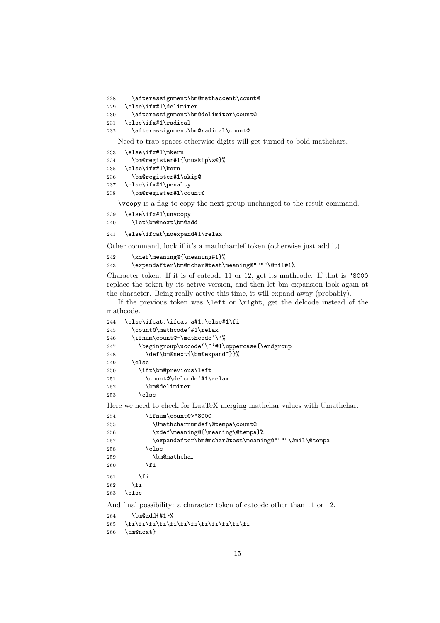```
228 \afterassignment\bm@mathaccent\count@
```

```
229 \else\ifx#1\delimiter
```

```
230 \afterassignment\bm@delimiter\count@
```

```
231 \else\ifx#1\radical
```

```
232 \afterassignment\bm@radical\count@
```
Need to trap spaces otherwise digits will get turned to bold mathchars.

```
233 \else\ifx#1\mkern
```

```
234 \bm@register#1{\muskip\z@}%
235 \else\ifx#1\kern
236 \bm@register#1\skip@
237 \else\ifx#1\penalty
```

```
238 \bm@register#1\count@
```
\vcopy is a flag to copy the next group unchanged to the result command.

```
239 \else\ifx#1\unvcopy
240 \let\bm@next\bm@add
```
\else\ifcat\noexpand#1\relax

Other command, look if it's a mathchardef token (otherwise just add it).

```
242 \xdef\meaning@{\meaning#1}%
```

```
243 \expandafter\bm@mchar@test\meaning@""""\@nil#1%
```
Character token. If it is of catcode 11 or 12, get its mathcode. If that is "8000 replace the token by its active version, and then let bm expansion look again at the character. Being really active this time, it will expand away (probably).

If the previous token was \left or \right, get the delcode instead of the mathcode.

```
244 \else\ifcat.\ifcat a#1.\else#1\fi
245 \count@\mathcode'#1\relax
246 \ifnum\count@=\mathcode'\'%
247 \begingroup\uccode'\~'#1\uppercase{\endgroup
248 \def\bm@next{\bm@expand~}}%
249 \leq \leq \leq250 \ifx\bm@previous\left
251 \count@\delcode'#1\relax
252 \bm@delimiter
253 \else
```
Here we need to check for LuaTeX merging mathchar values with Umathchar.

```
254 \ifnum\count@>"8000
255 \Umathcharnumdef\@tempa\count@
256 \xdef\meaning@{\meaning\@tempa}%
257 \expandafter\bm@mchar@test\meaning@""""\@nil\@tempa
258 \else
259 \bm@mathchar
260 \overline{\ } \}261 \overrightarrow{f}262 \fi
263 \else
```
And final possibility: a character token of catcode other than 11 or 12.

```
264 \bm@add{#1}%
```

```
265 \fi\fi\fi\fi\fi\fi\fi\fi\fi\fi\fi\fi
```

```
266 \bm@next}
```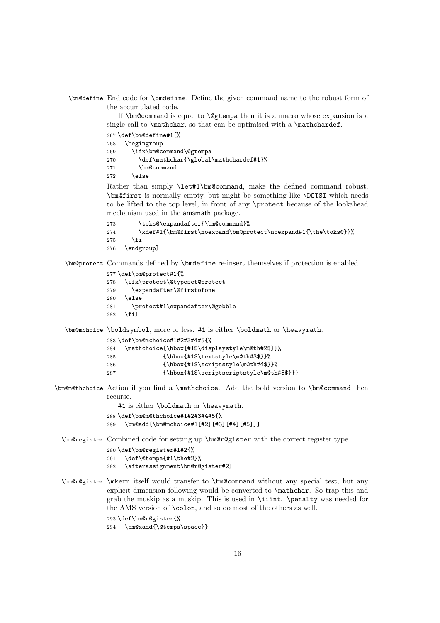\bm@define End code for \bmdefine. Define the given command name to the robust form of the accumulated code.

> If \bm@command is equal to \@gtempa then it is a macro whose expansion is a single call to  $\mathcal{S}$ , so that can be optimised with a  $\mathcal{S}$ .

|     | $267 \def\bmodefine\#1{\%}$           |
|-----|---------------------------------------|
| 268 | \begingroup                           |
| 269 | \ifx\bm@command\@gtempa               |
| 270 | \def\mathchar{\global\mathchardef#1}% |
| 271 | \bm@command                           |
| 272 | \else                                 |
|     |                                       |

Rather than simply \let#1\bm@command, make the defined command robust. \bm@first is normally empty, but might be something like \DOTSI which needs to be lifted to the top level, in front of any \protect because of the lookahead mechanism used in the amsmath package.

```
273 \toks@\expandafter{\bm@command}%
274 \xdef#1{\bm@first\noexpand\bm@protect\noexpand#1{\the\toks@}}%
275 \fi
276 \endgroup}
```
\bm@protect Commands defined by \bmdefine re-insert themselves if protection is enabled.

```
277 \def\bm@protect#1{%
278 \ifx\protect\@typeset@protect
```

```
279 \expandafter\@firstofone
```
280 \else

```
281 \protect#1\expandafter\@gobble
282 \text{ } \text{ } 252
```
\bm@mchoice \boldsymbol, more or less. #1 is either \boldmath or \heavymath.

```
283 \def\bm@mchoice#1#2#3#4#5{%
284 \mathchoice{\hbox{#1$\displaystyle\m@th#2$}}%
285 {\hbox{#1$\textstyle\m@th#3$}}%
286 {\hbox{#1$\scriptstyle\m@th#4$}}%
287 {\hbox{#1$\scriptscriptstyle\m@th#5$}}}
```
\bm@m@thchoice Action if you find a \mathchoice. Add the bold version to \bm@command then recurse.

#1 is either \boldmath or \heavymath.

```
288 \def\bm@m@thchoice#1#2#3#4#5{%<br>289 \bm@addf\bm@mchoice#1{#2}{#3}
      \bm@add{\bm@mchoice#1{#2}{#3}{#4}{#5}}}
```
\bm@register Combined code for setting up \bm@r@gister with the correct register type.

```
290 \def\bm@register#1#2{%
291 \def\@tempa{#1\the#2}%
```

```
292 \afterassignment\bm@r@gister#2}
```
\bm@r@gister \mkern itself would transfer to \bm@command without any special test, but any explicit dimension following would be converted to \mathchar. So trap this and grab the muskip as a muskip. This is used in \iiint. \penalty was needed for the AMS version of \colon, and so do most of the others as well.

```
293 \def\bm@r@gister{%
```

```
294 \bm@xadd{\@tempa\space}}
```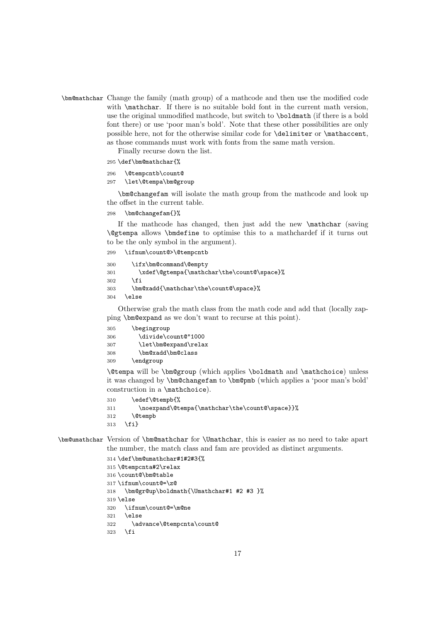\bm@mathchar Change the family (math group) of a mathcode and then use the modified code with \mathchar. If there is no suitable bold font in the current math version, use the original unmodified mathcode, but switch to \boldmath (if there is a bold font there) or use 'poor man's bold'. Note that these other possibilities are only possible here, not for the otherwise similar code for **\delimiter** or **\mathaccent**, as those commands must work with fonts from the same math version.

Finally recurse down the list.

```
295 \def\bm@mathchar{%
```

```
296 \@tempcntb\count@
```

```
297 \let\@tempa\bm@group
```
\bm@changefam will isolate the math group from the mathcode and look up the offset in the current table.

298 \bm@changefam{}%

If the mathcode has changed, then just add the new \mathchar (saving \@gtempa allows \bmdefine to optimise this to a mathchardef if it turns out to be the only symbol in the argument).

```
299 \ifnum\count@>\@tempcntb
```

```
300 \ifx\bm@command\@empty
301 \xdef\@gtempa{\mathchar\the\count@\space}%
302 \qquad \text{If}303 \bm@xadd{\mathchar\the\count@\space}%
304 \else
```
Otherwise grab the math class from the math code and add that (locally zapping \bm@expand as we don't want to recurse at this point).

| 305 | \begingroup          |
|-----|----------------------|
| 306 | \divide\count@"1000  |
| 307 | \let\bm@expand\relax |
| 308 | \bm@xadd\bm@class    |
| 309 | \endgroup            |

\@tempa will be \bm@group (which applies \boldmath and \mathchoice) unless it was changed by \bm@changefam to \bm@pmb (which applies a 'poor man's bold' construction in a \mathchoice).

```
310 \edef\@tempb{%
```

```
311 \noexpand\@tempa{\mathchar\the\count@\space}}%
```
312 \@tempb

```
313 \fi}
```
\bm@umathchar Version of \bm@mathchar for \Umathchar, this is easier as no need to take apart the number, the match class and fam are provided as distinct arguments.

```
314 \def\bm@umathchar#1#2#3{%
315 \@tempcnta#2\relax
316 \count@\bm@table
317 \ifnum\count@=\z@
318 \bm@gr@up\boldmath{\Umathchar#1 #2 #3 }%
319 \else
320 \ifnum\count@=\m@ne
321 \else
322 \advance\@tempcnta\count@
323 \fi
```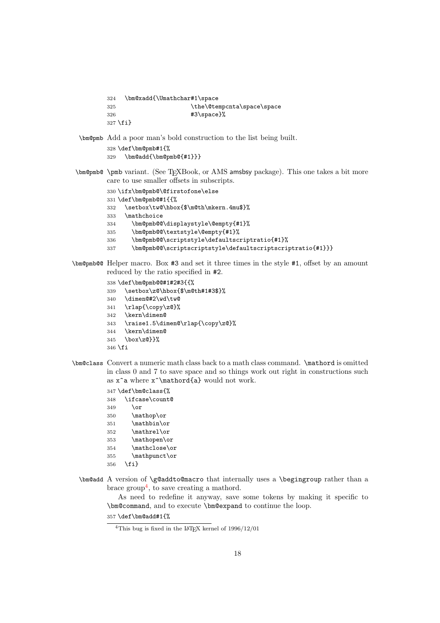```
324 \bm@xadd{\Umathchar#1\space
325 \the\@tempcnta\space\space
326 #3\space}%
327 \fi}
```
\bm@pmb Add a poor man's bold construction to the list being built.

```
328 \def\bm@pmb#1{%
329 \bm@add{\bm@pmb@{#1}}}
```
- \bm@pmb@ \pmb variant. (See TEXBook, or AMS amsbsy package). This one takes a bit more care to use smaller offsets in subscripts.
	- \ifx\bm@pmb@\@firstofone\else \def\bm@pmb@#1{{% \setbox\tw@\hbox{\$\m@th\mkern.4mu\$}% \mathchoice \bm@pmb@@\displaystyle\@empty{#1}% \bm@pmb@@\textstyle\@empty{#1}% \bm@pmb@@\scriptstyle\defaultscriptratio{#1}% \bm@pmb@@\scriptscriptstyle\defaultscriptscriptratio{#1}}}
- \bm@pmb@@ Helper macro. Box #3 and set it three times in the style #1, offset by an amount reduced by the ratio specified in #2.
	- \def\bm@pmb@@#1#2#3{{%
	- \setbox\z@\hbox{\$\m@th#1#3\$}%
	- \dimen@#2\wd\tw@
	- \rlap{\copy\z@}%
	- \kern\dimen@
	- \raise1.5\dimen@\rlap{\copy\z@}%
	- \kern\dimen@
	- \box\z@}}%
	- \fi
- \bm@class Convert a numeric math class back to a math class command. \mathord is omitted in class 0 and 7 to save space and so things work out right in constructions such as  $x^a$  where  $x^{\mathrm{a}}$  would not work.

```
347 \def\bm@class{%
348 \ifcase\count@
349 \or
350 \mathop\or
351 \mathbin\or
352 \mathrel\or
353 \mathopen\or
354 \mathclose\or
355 \mathpunct\or
356 \fi}
```
\bm@add A version of \g@addto@macro that internally uses a \begingroup rather than a brace group<sup>[4](#page-17-0)</sup>, to save creating a mathord.

As need to redefine it anyway, save some tokens by making it specific to \bm@command, and to execute \bm@expand to continue the loop.

\def\bm@add#1{%

<span id="page-17-0"></span><sup>&</sup>lt;sup>4</sup>This bug is fixed in the L<sup>AT</sup>EX kernel of  $1996/12/01$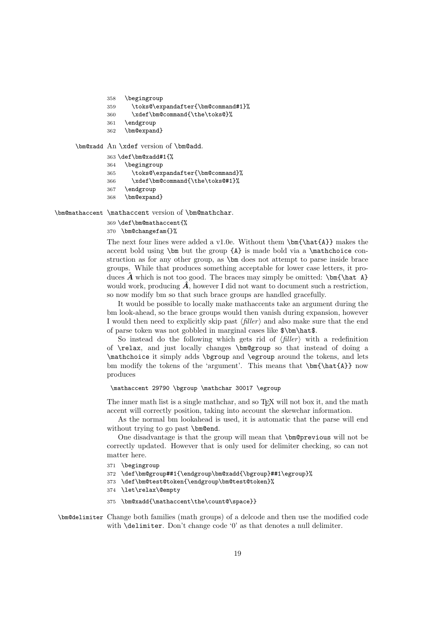```
358 \begingroup
```

```
359 \toks@\expandafter{\bm@command#1}%
```
- 360 \xdef\bm@command{\the\toks@}%
- 361 \endgroup
- 362 \bm@expand}

\bm@xadd An \xdef version of \bm@add.

```
363 \def\bm@xadd#1{%
364 \begingroup
365 \toks@\expandafter{\bm@command}%
366 \xdef\bm@command{\the\toks@#1}%
367 \endgroup
368 \bm@expand}
```
\bm@mathaccent \mathaccent version of \bm@mathchar.

369 \def\bm@mathaccent{% 370 \bm@changefam{}%

The next four lines were added a v1.0e. Without them  $\bm{\hat{A}}$  makes the accent bold using  $\bm{\lambda}$  but the group  $\{A\}$  is made bold via a  $\mathcal{A}$  mathchoice construction as for any other group, as \bm does not attempt to parse inside brace groups. While that produces something acceptable for lower case letters, it produces  $\hat{A}$  which is not too good. The braces may simply be omitted: \bm{\hat A} would work, producing  $\hat{A}$ , however I did not want to document such a restriction, so now modify bm so that such brace groups are handled gracefully.

It would be possible to locally make mathaccents take an argument during the bm look-ahead, so the brace groups would then vanish during expansion, however I would then need to explicitly skip past  $\langle \text{filter} \rangle$  and also make sure that the end of parse token was not gobbled in marginal cases like \$\bm\hat\$.

So instead do the following which gets rid of  $\langle filter \rangle$  with a redefinition of \relax, and just locally changes \bm@group so that instead of doing a \mathchoice it simply adds \bgroup and \egroup around the tokens, and lets bm modify the tokens of the 'argument'. This means that  $\bm{\hat{A}}$  now produces

#### \mathaccent 29790 \bgroup \mathchar 30017 \egroup

The inner math list is a single mathchar, and so T<sub>E</sub>X will not box it, and the math accent will correctly position, taking into account the skewchar information.

As the normal bm lookahead is used, it is automatic that the parse will end without trying to go past \bm@end.

One disadvantage is that the group will mean that \bm@previous will not be correctly updated. However that is only used for delimiter checking, so can not matter here.

- 371 \begingroup
- 372 \def\bm@group##1{\endgroup\bm@xadd{\bgroup}##1\egroup}%
- 373 \def\bm@test@token{\endgroup\bm@test@token}%
- 374 \let\relax\@empty
- 375 \bm@xadd{\mathaccent\the\count@\space}}

\bm@delimiter Change both families (math groups) of a delcode and then use the modified code with \delimiter. Don't change code '0' as that denotes a null delimiter.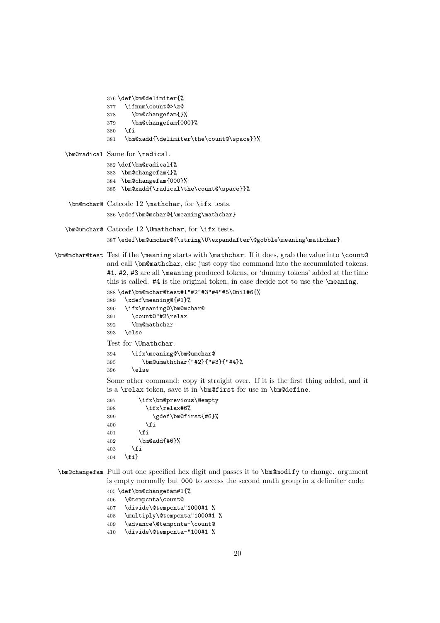```
376 \def\bm@delimiter{%
               377 \ifnum\count@>\z@
               378 \bm@changefam{}%
               379 \bm@changefam{000}%
               380 \fi
               381 \bm@xadd{\delimiter\the\count@\space}}%
  \bm@radical Same for \radical.
               382 \def\bm@radical{%
               383 \bm@changefam{}%
               384 \bm@changefam{000}%
               385 \bm@xadd{\radical\the\count@\space}}%
   \bm@mchar@ Catcode 12 \mathchar, for \ifx tests.
               386 \edef\bm@mchar@{\meaning\mathchar}
  \bm@umchar@ Catcode 12 \Umathchar, for \ifx tests.
               387 \edef\bm@umchar@{\string\U\expandafter\@gobble\meaning\mathchar}
\bm@mchar@test Test if the \meaning starts with \mathchar. If it does, grab the value into \count@
               and call \bm@mathchar, else just copy the command into the accumulated tokens.
               #1, #2, #3 are all \meaning produced tokens, or 'dummy tokens' added at the time
               this is called. #4 is the original token, in case decide not to use the \meaning.
               388 \def\bm@mchar@test#1"#2"#3"#4"#5\@nil#6{%
               389 \xdef\meaning@{#1}%
               390 \ifx\meaning@\bm@mchar@
               391 \count@"#2\relax
               392 \bm@mathchar
               393 \else
               Test for \Umathchar.
               394 \ifx\meaning@\bm@umchar@
               395 \bm@umathchar{"#2}{"#3}{"#4}%
               396 \text{delse}Some other command: copy it straight over. If it is the first thing added, and it
               is a \relax token, save it in \bm@first for use in \bm@define.
               397 \ifx\bm@previous\@empty
               398 \ifx\relax#6%
               399 \gdef\bm@first{#6}%
               400 \quad \text{If} \quad401 \fi
               402 \bm@add{#6}%
               403 \fi
               404 \fi}
\bm@changefam Pull out one specified hex digit and passes it to \bm@modify to change. argument
               is empty normally but 000 to access the second math group in a delimiter code.
               405 \def\bm@changefam#1{%
```

```
406 \@tempcnta\count@
```

```
407 \divide\@tempcnta"1000#1 %
```

```
408 \multiply\@tempcnta"1000#1 %
```

```
409 \advance\@tempcnta-\count@
```
\divide\@tempcnta-"100#1 %